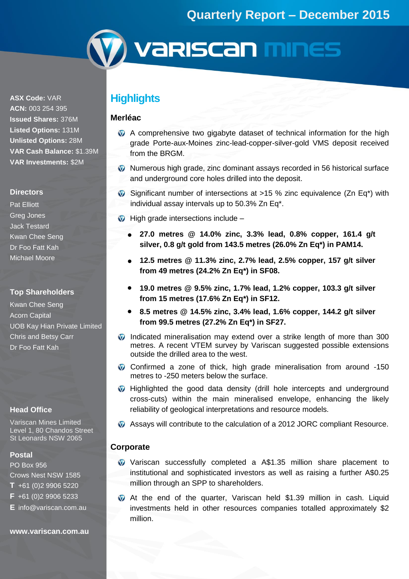# **Quarterly Report – December 2015**



# **(Y)** variscan mines

# **Highlights**

#### **Merléac**

- A comprehensive two gigabyte dataset of technical information for the high grade Porte-aux-Moines zinc-lead-copper-silver-gold VMS deposit received from the BRGM.
- Numerous high grade, zinc dominant assays recorded in 56 historical surface and underground core holes drilled into the deposit.
- $\heartsuit$  Significant number of intersections at >15 % zinc equivalence (Zn Eq\*) with individual assay intervals up to 50.3% Zn Eq\*.

 $\bullet$  High grade intersections include –

- **27.0 metres @ 14.0% zinc, 3.3% lead, 0.8% copper, 161.4 g/t silver, 0.8 g/t gold from 143.5 metres (26.0% Zn Eq\*) in PAM14.**
- **12.5 metres @ 11.3% zinc, 2.7% lead, 2.5% copper, 157 g/t silver from 49 metres (24.2% Zn Eq\*) in SF08.**
- **19.0 metres @ 9.5% zinc, 1.7% lead, 1.2% copper, 103.3 g/t silver from 15 metres (17.6% Zn Eq\*) in SF12.**
- **8.5 metres @ 14.5% zinc, 3.4% lead, 1.6% copper, 144.2 g/t silver from 99.5 metres (27.2% Zn Eq\*) in SF27.**
- Indicated mineralisation may extend over a strike length of more than 300 metres. A recent VTEM survey by Variscan suggested possible extensions outside the drilled area to the west.
- Confirmed a zone of thick, high grade mineralisation from around -150 metres to -250 meters below the surface.
- **W** Highlighted the good data density (drill hole intercepts and underground cross-cuts) within the main mineralised envelope, enhancing the likely reliability of geological interpretations and resource models.
- Assays will contribute to the calculation of a 2012 JORC compliant Resource.

#### **Corporate**

- Variscan successfully completed a A\$1.35 million share placement to institutional and sophisticated investors as well as raising a further A\$0.25 million through an SPP to shareholders.
- At the end of the quarter, Variscan held \$1.39 million in cash. Liquid investments held in other resources companies totalled approximately \$2 million.

**ASX Code:** VAR **ACN:** 003 254 395 **Issued Shares:** 376M **Listed Options:** 131M **Unlisted Options:** 28M **VAR Cash Balance:** \$1.39M **VAR Investments:** \$2M

#### **Directors**

Pat Elliott Greg Jones Jack Testard Kwan Chee Seng Dr Foo Fatt Kah Michael Moore

#### **Top Shareholders**

Kwan Chee Seng Acorn Capital UOB Kay Hian Private Limited Chris and Betsy Carr Dr Foo Fatt Kah

## **Head Office**

Variscan Mines Limited Level 1, 80 Chandos Street St Leonards NSW 2065

#### **Postal**

PO Box 956 Crows Nest NSW 1585 **T** +61 (0)2 9906 5220 **F** +61 (0)2 9906 5233 **E** info@variscan.com.au

**www.variscan.com.au**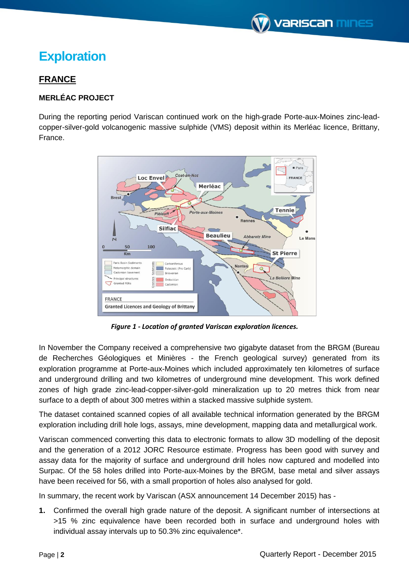

# **Exploration**

## **FRANCE**

#### **MERLÉAC PROJECT**

During the reporting period Variscan continued work on the high-grade Porte-aux-Moines zinc-leadcopper-silver-gold volcanogenic massive sulphide (VMS) deposit within its Merléac licence, Brittany, France.



*Figure 1 - Location of granted Variscan exploration licences.*

In November the Company received a comprehensive two gigabyte dataset from the BRGM (Bureau de Recherches Géologiques et Minières - the French geological survey) generated from its exploration programme at Porte-aux-Moines which included approximately ten kilometres of surface and underground drilling and two kilometres of underground mine development. This work defined zones of high grade zinc-lead-copper-silver-gold mineralization up to 20 metres thick from near surface to a depth of about 300 metres within a stacked massive sulphide system.

The dataset contained scanned copies of all available technical information generated by the BRGM exploration including drill hole logs, assays, mine development, mapping data and metallurgical work.

Variscan commenced converting this data to electronic formats to allow 3D modelling of the deposit and the generation of a 2012 JORC Resource estimate. Progress has been good with survey and assay data for the majority of surface and underground drill holes now captured and modelled into Surpac. Of the 58 holes drilled into Porte-aux-Moines by the BRGM, base metal and silver assays have been received for 56, with a small proportion of holes also analysed for gold.

In summary, the recent work by Variscan (ASX announcement 14 December 2015) has -

**1.** Confirmed the overall high grade nature of the deposit. A significant number of intersections at >15 % zinc equivalence have been recorded both in surface and underground holes with individual assay intervals up to 50.3% zinc equivalence\*.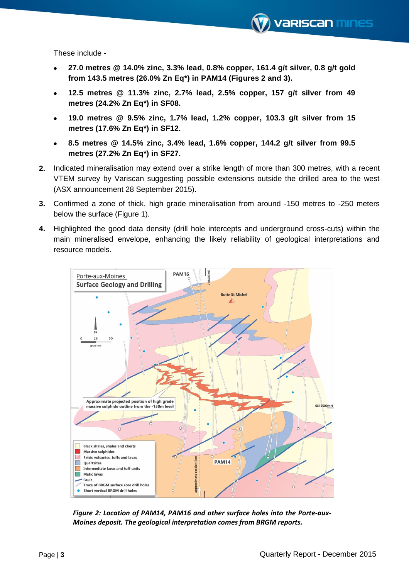These include -

- **27.0 metres @ 14.0% zinc, 3.3% lead, 0.8% copper, 161.4 g/t silver, 0.8 g/t gold from 143.5 metres (26.0% Zn Eq\*) in PAM14 (Figures 2 and 3).**
- **12.5 metres @ 11.3% zinc, 2.7% lead, 2.5% copper, 157 g/t silver from 49 metres (24.2% Zn Eq\*) in SF08.**
- **19.0 metres @ 9.5% zinc, 1.7% lead, 1.2% copper, 103.3 g/t silver from 15 metres (17.6% Zn Eq\*) in SF12.**
- **8.5 metres @ 14.5% zinc, 3.4% lead, 1.6% copper, 144.2 g/t silver from 99.5 metres (27.2% Zn Eq\*) in SF27.**
- **2.** Indicated mineralisation may extend over a strike length of more than 300 metres, with a recent VTEM survey by Variscan suggesting possible extensions outside the drilled area to the west (ASX announcement 28 September 2015).
- **3.** Confirmed a zone of thick, high grade mineralisation from around -150 metres to -250 meters below the surface (Figure 1).
- **4.** Highlighted the good data density (drill hole intercepts and underground cross-cuts) within the main mineralised envelope, enhancing the likely reliability of geological interpretations and resource models.



*Figure 2: Location of PAM14, PAM16 and other surface holes into the Porte-aux-Moines deposit. The geological interpretation comes from BRGM reports.*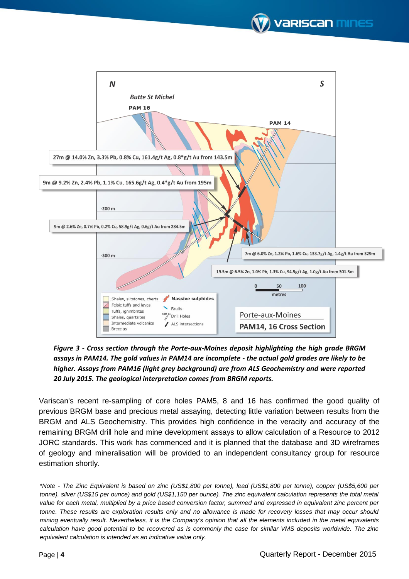



*Figure 3 - Cross section through the Porte-aux-Moines deposit highlighting the high grade BRGM assays in PAM14. The gold values in PAM14 are incomplete - the actual gold grades are likely to be higher. Assays from PAM16 (light grey background) are from ALS Geochemistry and were reported 20 July 2015. The geological interpretation comes from BRGM reports.* 

Variscan's recent re-sampling of core holes PAM5, 8 and 16 has confirmed the good quality of previous BRGM base and precious metal assaying, detecting little variation between results from the BRGM and ALS Geochemistry. This provides high confidence in the veracity and accuracy of the remaining BRGM drill hole and mine development assays to allow calculation of a Resource to 2012 JORC standards. This work has commenced and it is planned that the database and 3D wireframes of geology and mineralisation will be provided to an independent consultancy group for resource estimation shortly.

*\*Note - The Zinc Equivalent is based on zinc (US\$1,800 per tonne), lead (US\$1,800 per tonne), copper (US\$5,600 per tonne), silver (US\$15 per ounce) and gold (US\$1,150 per ounce). The zinc equivalent calculation represents the total metal value for each metal, multiplied by a price based conversion factor, summed and expressed in equivalent zinc percent per tonne. These results are exploration results only and no allowance is made for recovery losses that may occur should mining eventually result. Nevertheless, it is the Company's opinion that all the elements included in the metal equivalents calculation have good potential to be recovered as is commonly the case for similar VMS deposits worldwide. The zinc equivalent calculation is intended as an indicative value only.*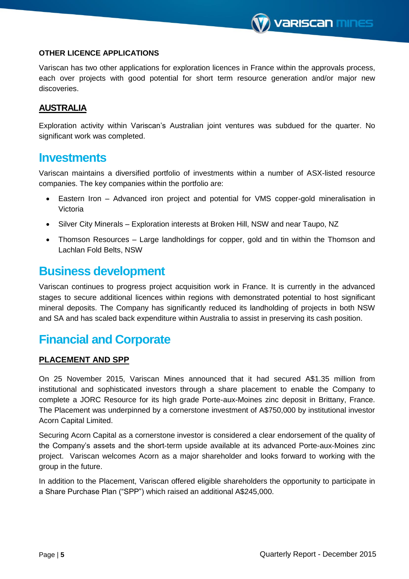

#### **OTHER LICENCE APPLICATIONS**

Variscan has two other applications for exploration licences in France within the approvals process, each over projects with good potential for short term resource generation and/or major new discoveries.

#### **AUSTRALIA**

Exploration activity within Variscan's Australian joint ventures was subdued for the quarter. No significant work was completed.

## **Investments**

Variscan maintains a diversified portfolio of investments within a number of ASX-listed resource companies. The key companies within the portfolio are:

- Eastern Iron Advanced iron project and potential for VMS copper-gold mineralisation in Victoria
- Silver City Minerals Exploration interests at Broken Hill, NSW and near Taupo, NZ
- Thomson Resources Large landholdings for copper, gold and tin within the Thomson and Lachlan Fold Belts, NSW

## **Business development**

Variscan continues to progress project acquisition work in France. It is currently in the advanced stages to secure additional licences within regions with demonstrated potential to host significant mineral deposits. The Company has significantly reduced its landholding of projects in both NSW and SA and has scaled back expenditure within Australia to assist in preserving its cash position.

## **Financial and Corporate**

#### **PLACEMENT AND SPP**

On 25 November 2015, Variscan Mines announced that it had secured A\$1.35 million from institutional and sophisticated investors through a share placement to enable the Company to complete a JORC Resource for its high grade Porte-aux-Moines zinc deposit in Brittany, France. The Placement was underpinned by a cornerstone investment of A\$750,000 by institutional investor Acorn Capital Limited.

Securing Acorn Capital as a cornerstone investor is considered a clear endorsement of the quality of the Company's assets and the short-term upside available at its advanced Porte-aux-Moines zinc project. Variscan welcomes Acorn as a major shareholder and looks forward to working with the group in the future.

In addition to the Placement, Variscan offered eligible shareholders the opportunity to participate in a Share Purchase Plan ("SPP") which raised an additional A\$245,000.